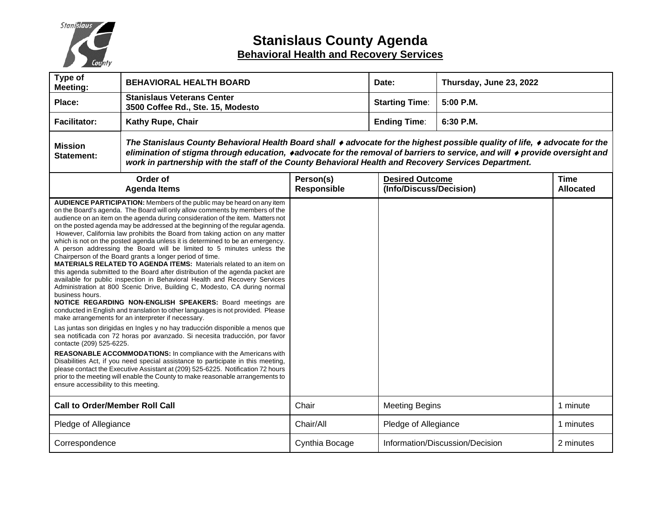

# **Stanislaus County Agenda Behavioral Health and Recovery Services**

| Type of<br><b>Meeting:</b>                                                           | <b>BEHAVIORAL HEALTH BOARD</b>                                                                                                                                                                                                                                                                                                                                                                                                                                                                                                                                                                                                                                                                                                                                                                                                                                                                                                                                                                                                                                                                                                                                                                                                                                                                                                                                                                                                                                                                                                                                                                                                                               |                          | Date:                                             | Thursday, June 23, 2022         |                                 |  |
|--------------------------------------------------------------------------------------|--------------------------------------------------------------------------------------------------------------------------------------------------------------------------------------------------------------------------------------------------------------------------------------------------------------------------------------------------------------------------------------------------------------------------------------------------------------------------------------------------------------------------------------------------------------------------------------------------------------------------------------------------------------------------------------------------------------------------------------------------------------------------------------------------------------------------------------------------------------------------------------------------------------------------------------------------------------------------------------------------------------------------------------------------------------------------------------------------------------------------------------------------------------------------------------------------------------------------------------------------------------------------------------------------------------------------------------------------------------------------------------------------------------------------------------------------------------------------------------------------------------------------------------------------------------------------------------------------------------------------------------------------------------|--------------------------|---------------------------------------------------|---------------------------------|---------------------------------|--|
| Place:                                                                               | <b>Stanislaus Veterans Center</b><br>3500 Coffee Rd., Ste. 15, Modesto                                                                                                                                                                                                                                                                                                                                                                                                                                                                                                                                                                                                                                                                                                                                                                                                                                                                                                                                                                                                                                                                                                                                                                                                                                                                                                                                                                                                                                                                                                                                                                                       |                          | <b>Starting Time:</b>                             | 5:00 P.M.                       |                                 |  |
| <b>Facilitator:</b>                                                                  | Kathy Rupe, Chair                                                                                                                                                                                                                                                                                                                                                                                                                                                                                                                                                                                                                                                                                                                                                                                                                                                                                                                                                                                                                                                                                                                                                                                                                                                                                                                                                                                                                                                                                                                                                                                                                                            |                          | <b>Ending Time:</b>                               | 6:30 P.M.                       |                                 |  |
| <b>Mission</b><br>Statement:                                                         | The Stanislaus County Behavioral Health Board shall ♦ advocate for the highest possible quality of life, ♦ advocate for the<br>elimination of stigma through education, ◆advocate for the removal of barriers to service, and will ◆ provide oversight and<br>work in partnership with the staff of the County Behavioral Health and Recovery Services Department.                                                                                                                                                                                                                                                                                                                                                                                                                                                                                                                                                                                                                                                                                                                                                                                                                                                                                                                                                                                                                                                                                                                                                                                                                                                                                           |                          |                                                   |                                 |                                 |  |
| Order of<br><b>Agenda Items</b>                                                      |                                                                                                                                                                                                                                                                                                                                                                                                                                                                                                                                                                                                                                                                                                                                                                                                                                                                                                                                                                                                                                                                                                                                                                                                                                                                                                                                                                                                                                                                                                                                                                                                                                                              | Person(s)<br>Responsible | <b>Desired Outcome</b><br>(Info/Discuss/Decision) |                                 | <b>Time</b><br><b>Allocated</b> |  |
| business hours.<br>contacte (209) 525-6225.<br>ensure accessibility to this meeting. | AUDIENCE PARTICIPATION: Members of the public may be heard on any item<br>on the Board's agenda. The Board will only allow comments by members of the<br>audience on an item on the agenda during consideration of the item. Matters not<br>on the posted agenda may be addressed at the beginning of the regular agenda.<br>However, California law prohibits the Board from taking action on any matter<br>which is not on the posted agenda unless it is determined to be an emergency.<br>A person addressing the Board will be limited to 5 minutes unless the<br>Chairperson of the Board grants a longer period of time.<br><b>MATERIALS RELATED TO AGENDA ITEMS:</b> Materials related to an item on<br>this agenda submitted to the Board after distribution of the agenda packet are<br>available for public inspection in Behavioral Health and Recovery Services<br>Administration at 800 Scenic Drive, Building C, Modesto, CA during normal<br>NOTICE REGARDING NON-ENGLISH SPEAKERS: Board meetings are<br>conducted in English and translation to other languages is not provided. Please<br>make arrangements for an interpreter if necessary.<br>Las juntas son dirigidas en Ingles y no hay traducción disponible a menos que<br>sea notificada con 72 horas por avanzado. Si necesita traducción, por favor<br>REASONABLE ACCOMMODATIONS: In compliance with the Americans with<br>Disabilities Act, if you need special assistance to participate in this meeting,<br>please contact the Executive Assistant at (209) 525-6225. Notification 72 hours<br>prior to the meeting will enable the County to make reasonable arrangements to |                          |                                                   |                                 |                                 |  |
| <b>Call to Order/Member Roll Call</b>                                                |                                                                                                                                                                                                                                                                                                                                                                                                                                                                                                                                                                                                                                                                                                                                                                                                                                                                                                                                                                                                                                                                                                                                                                                                                                                                                                                                                                                                                                                                                                                                                                                                                                                              | Chair                    | <b>Meeting Begins</b>                             |                                 | 1 minute                        |  |
| Pledge of Allegiance                                                                 |                                                                                                                                                                                                                                                                                                                                                                                                                                                                                                                                                                                                                                                                                                                                                                                                                                                                                                                                                                                                                                                                                                                                                                                                                                                                                                                                                                                                                                                                                                                                                                                                                                                              | Chair/All                |                                                   | Pledge of Allegiance            |                                 |  |
| Correspondence                                                                       |                                                                                                                                                                                                                                                                                                                                                                                                                                                                                                                                                                                                                                                                                                                                                                                                                                                                                                                                                                                                                                                                                                                                                                                                                                                                                                                                                                                                                                                                                                                                                                                                                                                              | Cynthia Bocage           |                                                   | Information/Discussion/Decision | 2 minutes                       |  |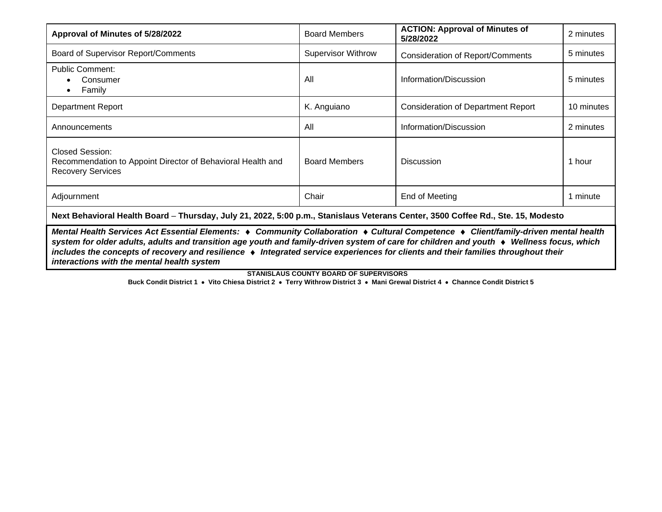| Approval of Minutes of 5/28/2022                                                                                                                                                                                                                                                        | <b>Board Members</b>      | <b>ACTION: Approval of Minutes of</b><br>5/28/2022 | 2 minutes  |  |  |  |  |
|-----------------------------------------------------------------------------------------------------------------------------------------------------------------------------------------------------------------------------------------------------------------------------------------|---------------------------|----------------------------------------------------|------------|--|--|--|--|
| Board of Supervisor Report/Comments                                                                                                                                                                                                                                                     | <b>Supervisor Withrow</b> | <b>Consideration of Report/Comments</b>            | 5 minutes  |  |  |  |  |
| <b>Public Comment:</b><br>Consumer<br>Family                                                                                                                                                                                                                                            | All                       | Information/Discussion                             | 5 minutes  |  |  |  |  |
| <b>Department Report</b>                                                                                                                                                                                                                                                                | K. Anguiano               |                                                    | 10 minutes |  |  |  |  |
| Announcements                                                                                                                                                                                                                                                                           | All                       | Information/Discussion                             | 2 minutes  |  |  |  |  |
| <b>Closed Session:</b><br>Recommendation to Appoint Director of Behavioral Health and<br><b>Recovery Services</b>                                                                                                                                                                       | <b>Board Members</b>      | <b>Discussion</b>                                  | 1 hour     |  |  |  |  |
| Adjournment                                                                                                                                                                                                                                                                             | Chair                     | End of Meeting                                     | 1 minute   |  |  |  |  |
| Next Behavioral Health Board - Thursday, July 21, 2022, 5:00 p.m., Stanislaus Veterans Center, 3500 Coffee Rd., Ste. 15, Modesto                                                                                                                                                        |                           |                                                    |            |  |  |  |  |
| Mental Health Services Act Essential Elements: ♦ Community Collaboration ♦ Cultural Competence ♦ Client/family-driven mental health<br>system for older adults, adults and transition age youth and family-driven system of care for children and youth $\bullet$ Wellness focus, which |                           |                                                    |            |  |  |  |  |

*includes the concepts of recovery and resilience* ♦*Integrated service experiences for clients and their families throughout their interactions with the mental health system*

**STANISLAUS COUNTY BOARD OF SUPERVISORS**

**Buck Condit District 1** • **Vito Chiesa District 2** • **Terry Withrow District 3** • **Mani Grewal District 4** • **Channce Condit District 5**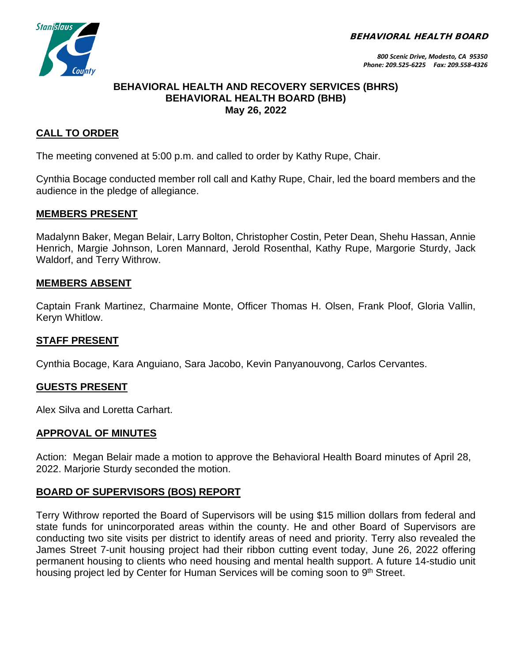BEHAVIORAL HEALTH BOARD



### **BEHAVIORAL HEALTH AND RECOVERY SERVICES (BHRS) BEHAVIORAL HEALTH BOARD (BHB) May 26, 2022**

# **CALL TO ORDER**

The meeting convened at 5:00 p.m. and called to order by Kathy Rupe, Chair.

Cynthia Bocage conducted member roll call and Kathy Rupe, Chair, led the board members and the audience in the pledge of allegiance.

### **MEMBERS PRESENT**

Madalynn Baker, Megan Belair, Larry Bolton, Christopher Costin, Peter Dean, Shehu Hassan, Annie Henrich, Margie Johnson, Loren Mannard, Jerold Rosenthal, Kathy Rupe, Margorie Sturdy, Jack Waldorf, and Terry Withrow.

### **MEMBERS ABSENT**

Captain Frank Martinez, Charmaine Monte, Officer Thomas H. Olsen, Frank Ploof, Gloria Vallin, Keryn Whitlow.

### **STAFF PRESENT**

Cynthia Bocage, Kara Anguiano, Sara Jacobo, Kevin Panyanouvong, Carlos Cervantes.

### **GUESTS PRESENT**

Alex Silva and Loretta Carhart.

### **APPROVAL OF MINUTES**

Action: Megan Belair made a motion to approve the Behavioral Health Board minutes of April 28, 2022. Marjorie Sturdy seconded the motion.

# **BOARD OF SUPERVISORS (BOS) REPORT**

Terry Withrow reported the Board of Supervisors will be using \$15 million dollars from federal and state funds for unincorporated areas within the county. He and other Board of Supervisors are conducting two site visits per district to identify areas of need and priority. Terry also revealed the James Street 7-unit housing project had their ribbon cutting event today, June 26, 2022 offering permanent housing to clients who need housing and mental health support. A future 14-studio unit housing project led by Center for Human Services will be coming soon to 9<sup>th</sup> Street.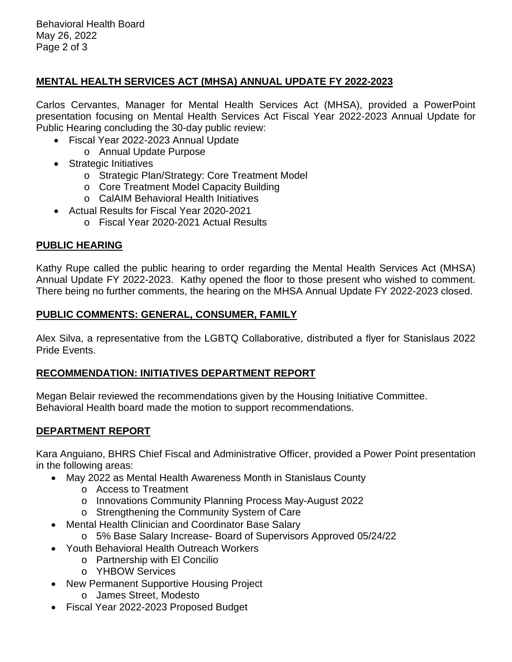Behavioral Health Board May 26, 2022 Page 2 of 3

### **MENTAL HEALTH SERVICES ACT (MHSA) ANNUAL UPDATE FY 2022-2023**

Carlos Cervantes, Manager for Mental Health Services Act (MHSA), provided a PowerPoint presentation focusing on Mental Health Services Act Fiscal Year 2022-2023 Annual Update for Public Hearing concluding the 30-day public review:

- Fiscal Year 2022-2023 Annual Update
	- o Annual Update Purpose
- Strategic Initiatives
	- o Strategic Plan/Strategy: Core Treatment Model
	- o Core Treatment Model Capacity Building
	- o CalAIM Behavioral Health Initiatives
- Actual Results for Fiscal Year 2020-2021
	- o Fiscal Year 2020-2021 Actual Results

### **PUBLIC HEARING**

Kathy Rupe called the public hearing to order regarding the Mental Health Services Act (MHSA) Annual Update FY 2022-2023. Kathy opened the floor to those present who wished to comment. There being no further comments, the hearing on the MHSA Annual Update FY 2022-2023 closed.

### **PUBLIC COMMENTS: GENERAL, CONSUMER, FAMILY**

Alex Silva, a representative from the LGBTQ Collaborative, distributed a flyer for Stanislaus 2022 Pride Events.

### **RECOMMENDATION: INITIATIVES DEPARTMENT REPORT**

Megan Belair reviewed the recommendations given by the Housing Initiative Committee. Behavioral Health board made the motion to support recommendations.

# **DEPARTMENT REPORT**

Kara Anguiano, BHRS Chief Fiscal and Administrative Officer, provided a Power Point presentation in the following areas:

- May 2022 as Mental Health Awareness Month in Stanislaus County
	- o Access to Treatment
	- o Innovations Community Planning Process May-August 2022
	- o Strengthening the Community System of Care
- Mental Health Clinician and Coordinator Base Salary
	- o 5% Base Salary Increase- Board of Supervisors Approved 05/24/22
- Youth Behavioral Health Outreach Workers
	- o Partnership with El Concilio
	- o YHBOW Services
- New Permanent Supportive Housing Project
	- o James Street, Modesto
- Fiscal Year 2022-2023 Proposed Budget